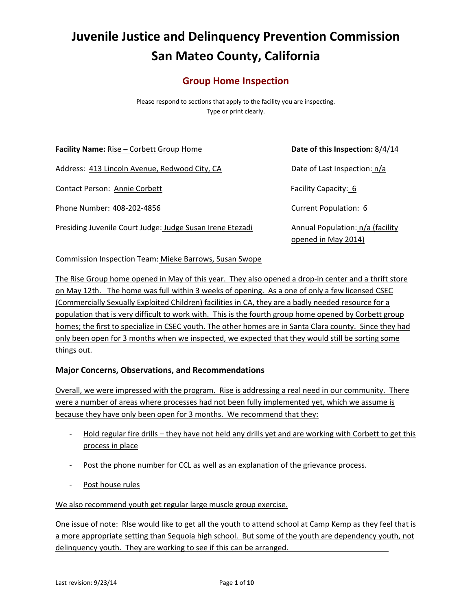# **Juvenile Justice and Delinquency Prevention Commission San Mateo County, California**

# **Group Home Inspection**

Please respond to sections that apply to the facility you are inspecting. Type or print clearly.

**Facility Name:** Rise – Corbett Group Home **Date of this Inspection:** 8/4/14 Address: 413 Lincoln Avenue, Redwood City, CA Date of Last Inspection: n/a Contact Person: Annie Corbett Facility Capacity: 6 Phone Number: 408‐202‐4856 Current Population: 6 Presiding Juvenile Court Judge: Judge Susan Irene Etezadi Annual Population: n/a (facility

opened in May 2014)

Commission Inspection Team: Mieke Barrows, Susan Swope

The Rise Group home opened in May of this year. They also opened a drop-in center and a thrift store on May 12th. The home was full within 3 weeks of opening. As a one of only a few licensed CSEC (Commercially Sexually Exploited Children) facilities in CA, they are a badly needed resource for a population that is very difficult to work with. This is the fourth group home opened by Corbett group homes; the first to specialize in CSEC youth. The other homes are in Santa Clara county. Since they had only been open for 3 months when we inspected, we expected that they would still be sorting some things out.

# **Major Concerns, Observations, and Recommendations**

Overall, we were impressed with the program. Rise is addressing a real need in our community. There were a number of areas where processes had not been fully implemented yet, which we assume is because they have only been open for 3 months. We recommend that they:

- Hold regular fire drills they have not held any drills yet and are working with Corbett to get this process in place
- Post the phone number for CCL as well as an explanation of the grievance process.
- ‐ Post house rules

We also recommend youth get regular large muscle group exercise.

One issue of note: RIse would like to get all the youth to attend school at Camp Kemp as they feel that is a more appropriate setting than Sequoia high school. But some of the youth are dependency youth, not delinquency youth. They are working to see if this can be arranged.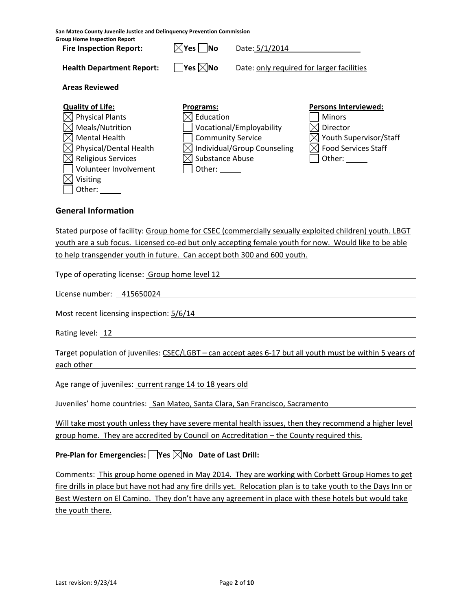**San Mateo County Juvenile Justice and Delinquency Prevention Commission**

| <b>Group Home Inspection Report</b><br><b>Fire Inspection Report:</b>                                                                                                        | $\boxtimes$ Yes $\textsf{I}$ No                     | Date: 5/1/2014                                                                      |                                                                                                                            |
|------------------------------------------------------------------------------------------------------------------------------------------------------------------------------|-----------------------------------------------------|-------------------------------------------------------------------------------------|----------------------------------------------------------------------------------------------------------------------------|
| <b>Health Department Report:</b>                                                                                                                                             | $\overline{\mathsf{Y}}$ es $\boxtimes$ No           | Date: only required for larger facilities                                           |                                                                                                                            |
| <b>Areas Reviewed</b>                                                                                                                                                        |                                                     |                                                                                     |                                                                                                                            |
| <b>Quality of Life:</b><br><b>Physical Plants</b><br>Meals/Nutrition<br><b>Mental Health</b><br>Physical/Dental Health<br><b>Religious Services</b><br>Volunteer Involvement | Programs:<br>Education<br>Substance Abuse<br>Other: | Vocational/Employability<br><b>Community Service</b><br>Individual/Group Counseling | <b>Persons Interviewed:</b><br><b>Minors</b><br>Director<br>Youth Supervisor/Staff<br><b>Food Services Staff</b><br>Other: |
| Visiting<br>Other:                                                                                                                                                           |                                                     |                                                                                     |                                                                                                                            |

#### **General Information**

Stated purpose of facility: Group home for CSEC (commercially sexually exploited children) youth. LBGT youth are a sub focus. Licensed co-ed but only accepting female youth for now. Would like to be able to help transgender youth in future. Can accept both 300 and 600 youth.

Type of operating license: Group home level 12

License number: 415650024

Most recent licensing inspection:  $5/6/14$ 

Rating level: 12

Target population of juveniles: CSEC/LGBT – can accept ages 6-17 but all youth must be within 5 years of each other

Age range of juveniles: current range 14 to 18 years old

Juveniles' home countries: San Mateo, Santa Clara, San Francisco, Sacramento

Will take most youth unless they have severe mental health issues, then they recommend a higher level group home. They are accredited by Council on Accreditation – the County required this.

**Pre‐Plan for Emergencies: Yes No Date of Last Drill:**

Comments: This group home opened in May 2014. They are working with Corbett Group Homes to get fire drills in place but have not had any fire drills yet. Relocation plan is to take youth to the Days Inn or Best Western on El Camino. They don't have any agreement in place with these hotels but would take the youth there.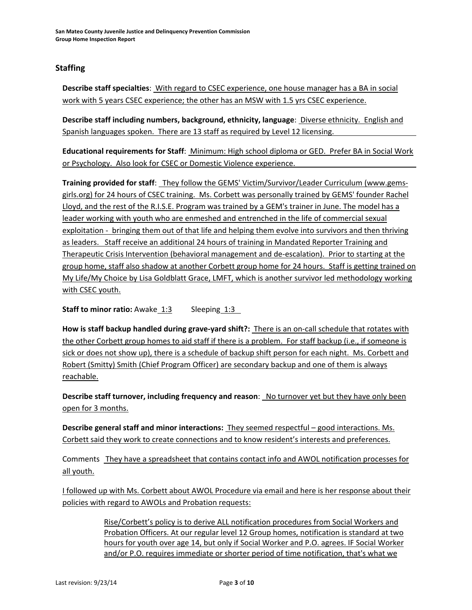# **Staffing**

**Describe staff specialties**: With regard to CSEC experience, one house manager has a BA in social work with 5 years CSEC experience; the other has an MSW with 1.5 yrs CSEC experience.

**Describe staff including numbers, background, ethnicity, language**: Diverse ethnicity. English and Spanish languages spoken. There are 13 staff as required by Level 12 licensing.

**Educational requirements for Staff**: Minimum: High school diploma or GED. Prefer BA in Social Work or Psychology. Also look for CSEC or Domestic Violence experience.

**Training provided for staff**: They follow the GEMS' Victim/Survivor/Leader Curriculum (www.gems‐ girls.org) for 24 hours of CSEC training. Ms. Corbett was personally trained by GEMS' founder Rachel Lloyd, and the rest of the R.I.S.E. Program was trained by a GEM's trainer in June. The model has a leader working with youth who are enmeshed and entrenched in the life of commercial sexual exploitation ‐ bringing them out of that life and helping them evolve into survivors and then thriving as leaders. Staff receive an additional 24 hours of training in Mandated Reporter Training and Therapeutic Crisis Intervention (behavioral management and de‐escalation). Prior to starting at the group home, staff also shadow at another Corbett group home for 24 hours. Staff is getting trained on My Life/My Choice by Lisa Goldblatt Grace, LMFT, which is another survivor led methodology working with CSEC youth.

**Staff to minor ratio:** Awake 1:3 Sleeping 1:3

**How is staff backup handled during grave‐yard shift?:** There is an on‐call schedule that rotates with the other Corbett group homes to aid staff if there is a problem. For staff backup (i.e., if someone is sick or does not show up), there is a schedule of backup shift person for each night. Ms. Corbett and Robert (Smitty) Smith (Chief Program Officer) are secondary backup and one of them is always reachable.

**Describe staff turnover, including frequency and reason**: No turnover yet but they have only been open for 3 months.

**Describe general staff and minor interactions:** They seemed respectful – good interactions. Ms. Corbett said they work to create connections and to know resident's interests and preferences.

Comments They have a spreadsheet that contains contact info and AWOL notification processes for all youth.

I followed up with Ms. Corbett about AWOL Procedure via email and here is her response about their policies with regard to AWOLs and Probation requests:

> Rise/Corbett's policy is to derive ALL notification procedures from Social Workers and Probation Officers. At our regular level 12 Group homes, notification is standard at two hours for youth over age 14, but only if Social Worker and P.O. agrees. IF Social Worker and/or P.O. requires immediate or shorter period of time notification, that's what we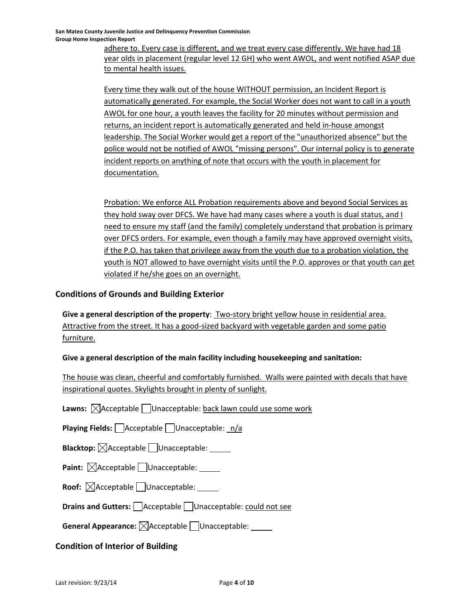adhere to. Every case is different, and we treat every case differently. We have had 18 year olds in placement (regular level 12 GH) who went AWOL, and went notified ASAP due to mental health issues.

Every time they walk out of the house WITHOUT permission, an Incident Report is automatically generated. For example, the Social Worker does not want to call in a youth AWOL for one hour, a youth leaves the facility for 20 minutes without permission and returns, an incident report is automatically generated and held in‐house amongst leadership. The Social Worker would get a report of the "unauthorized absence" but the police would not be notified of AWOL "missing persons". Our internal policy is to generate incident reports on anything of note that occurs with the youth in placement for documentation.

Probation: We enforce ALL Probation requirements above and beyond Social Services as they hold sway over DFCS. We have had many cases where a youth is dual status, and I need to ensure my staff (and the family) completely understand that probation is primary over DFCS orders. For example, even though a family may have approved overnight visits, if the P.O. has taken that privilege away from the youth due to a probation violation, the youth is NOT allowed to have overnight visits until the P.O. approves or that youth can get violated if he/she goes on an overnight.

# **Conditions of Grounds and Building Exterior**

**Give a general description of the property**: Two‐story bright yellow house in residential area. Attractive from the street. It has a good-sized backyard with vegetable garden and some patio furniture.

# **Give a general description of the main facility including housekeeping and sanitation:**

The house was clean, cheerful and comfortably furnished. Walls were painted with decals that have inspirational quotes. Skylights brought in plenty of sunlight.

**Lawns:**  $\boxtimes$ Acceptable Unacceptable: back lawn could use some work

**Playing Fields:** Acceptable Unacceptable: n/a

**Blacktop:**  $\boxtimes$  Acceptable Unacceptable:

**Paint:**  $\boxed{\times}$ Acceptable  $\boxed{\phantom{1}}$ Unacceptable:

**Roof:**  $\boxtimes$ Acceptable Unacceptable:

**Drains and Gutters:** | Acceptable | Unacceptable: could not see

**General Appearance:**  $\boxtimes$  Acceptable  $\Box$  Unacceptable:

# **Condition of Interior of Building**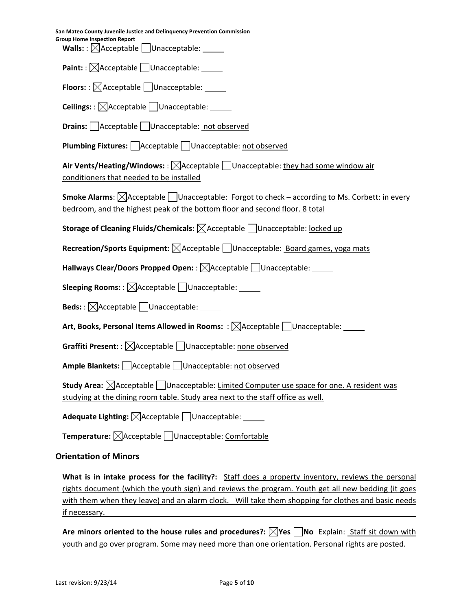**San Mateo County Juvenile Justice and Delinquency Prevention Commission Group Home Inspection Report Walls:** :  $\boxtimes$  Acceptable Unacceptable: Paint: :  $\boxtimes$ Acceptable Unacceptable: \_\_\_\_\_ **Floors:** :  $\boxtimes$ Acceptable Unacceptable: \_\_\_\_\_ **Ceilings:** :  $\boxtimes$  Acceptable  $\Box$  Unacceptable: **Drains:** Acceptable Unacceptable: not observed **Plumbing Fixtures:** Acceptable Unacceptable: not observed **Air Vents/Heating/Windows:** :  $\boxtimes$ Acceptable  $\Box$ Unacceptable: they had some window air conditioners that needed to be installed **Smoke Alarms:**  $\triangle$  Acceptable | Unacceptable: Forgot to check – according to Ms. Corbett: in every bedroom, and the highest peak of the bottom floor and second floor. 8 total **Storage of Cleaning Fluids/Chemicals:**  $\boxtimes$ Acceptable Unacceptable: locked up **Recreation/Sports Equipment:**  $\boxtimes$  Acceptable  $\Box$  Unacceptable: Board games, yoga mats **Hallways Clear/Doors Propped Open:** :  $\boxtimes$  Acceptable  $\Box$  Unacceptable: **Sleeping Rooms:** :  $\boxtimes$ Acceptable  $\Box$  Unacceptable: **Beds:** : ⊠Acceptable □Unacceptable: **Art, Books, Personal Items Allowed in Rooms:** : Acceptable Unacceptable: **Graffiti Present:** :  $\boxtimes$  Acceptable  $\Box$  Unacceptable: none observed **Ample Blankets:** △ Acceptable □ Unacceptable: not observed **Study Area:**  $\boxtimes$  Acceptable Unacceptable: Limited Computer use space for one. A resident was studying at the dining room table. Study area next to the staff office as well. **Adequate Lighting:**  $\boxtimes$  Acceptable Unacceptable: **Temperature:**  $\boxed{\times}$ Acceptable  $\boxed{\phantom{a}}$ Unacceptable: Comfortable **Orientation of Minors**

**What is in intake process for the facility?:**  Staff does a property inventory, reviews the personal rights document (which the youth sign) and reviews the program. Youth get all new bedding (it goes with them when they leave) and an alarm clock. Will take them shopping for clothes and basic needs if necessary.

**Are minors oriented to the house rules and procedures?: Yes No** Explain: Staff sit down with youth and go over program. Some may need more than one orientation. Personal rights are posted.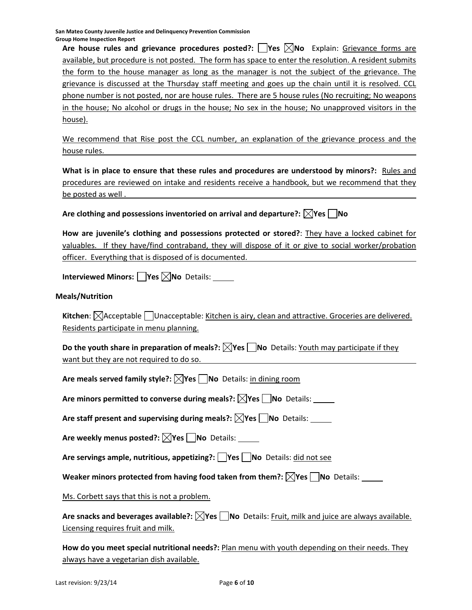**San Mateo County Juvenile Justice and Delinquency Prevention Commission Group Home Inspection Report**

**Are house rules and grievance procedures posted?: Yes No** Explain: Grievance forms are available, but procedure is not posted. The form has space to enter the resolution. A resident submits the form to the house manager as long as the manager is not the subject of the grievance. The grievance is discussed at the Thursday staff meeting and goes up the chain until it is resolved. CCL phone number is not posted, nor are house rules. There are 5 house rules (No recruiting; No weapons in the house; No alcohol or drugs in the house; No sex in the house; No unapproved visitors in the house).

We recommend that Rise post the CCL number, an explanation of the grievance process and the house rules.

**What is in place to ensure that these rules and procedures are understood by minors?:** Rules and procedures are reviewed on intake and residents receive a handbook, but we recommend that they be posted as well .

**Are** clothing and possessions inventoried on arrival and departure?:  $\vert\mathbf{\rangle}\vert$ Yes  $\vert\mathbf{\rangle}$  No

**How are juvenile's clothing and possessions protected or stored?**: They have a locked cabinet for valuables. If they have/find contraband, they will dispose of it or give to social worker/probation officer. Everything that is disposed of is documented.

**Interviewed Minors: Yes No** Details:

#### **Meals/Nutrition**

Kitchen:  $\boxed{\times}$ **Acceptable**  $\boxed{\phantom{\times}}$ Unacceptable: Kitchen is airy, clean and attractive. Groceries are delivered. Residents participate in menu planning.

**Do the youth share in preparation of meals?:**  $\boxtimes$ **Yes**  $\Box$  **No Details: Youth may participate if they** want but they are not required to do so.

**Are meals served family style?: Yes No** Details: in dining room

**Are minors permitted to converse during meals?: Yes No** Details:

**Are staff present and supervising during meals?: Yes No** Details:

**Are weekly menus posted?: Yes No** Details:

**Are servings ample, nutritious, appetizing?: Yes No** Details: did not see

**Weaker minors protected from having food taken from them?: Yes No** Details:

Ms. Corbett says that this is not a problem.

**Are snacks and beverages available?: Yes No** Details: Fruit, milk and juice are always available. Licensing requires fruit and milk.

**How do you meet special nutritional needs?:** Plan menu with youth depending on their needs. They always have a vegetarian dish available.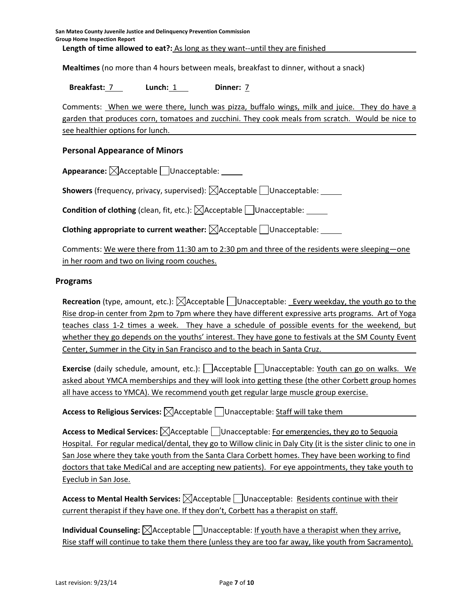**Mealtimes** (no more than 4 hours between meals, breakfast to dinner, without a snack)

#### **Breakfast:** 7 **Lunch:** 1 **Dinner:** 7

Comments: When we were there, lunch was pizza, buffalo wings, milk and juice. They do have a garden that produces corn, tomatoes and zucchini. They cook meals from scratch. Would be nice to see healthier options for lunch.

# **Personal Appearance of Minors**

**Appearance:**  $\boxtimes$  Acceptable Unacceptable:

**Showers** (frequency, privacy, supervised):  $\boxtimes$  Acceptable Unacceptable: \_\_\_\_\_

**Condition of clothing** (clean, fit, etc.):  $\boxtimes$  Acceptable  $\Box$  Unacceptable:

**Clothing appropriate to current weather:**  $\boxtimes$  Acceptable  $\Box$  Unacceptable:

Comments: We were there from 11:30 am to 2:30 pm and three of the residents were sleeping—one in her room and two on living room couches.

### **Programs**

**Recreation** (type, amount, etc.):  $\boxtimes$  Acceptable  $\Box$  Unacceptable: Every weekday, the youth go to the Rise drop-in center from 2pm to 7pm where they have different expressive arts programs. Art of Yoga teaches class 1-2 times a week. They have a schedule of possible events for the weekend, but whether they go depends on the youths' interest. They have gone to festivals at the SM County Event Center, Summer in the City in San Francisco and to the beach in Santa Cruz.

**Exercise** (daily schedule, amount, etc.): Acceptable Unacceptable: Youth can go on walks. We asked about YMCA memberships and they will look into getting these (the other Corbett group homes all have access to YMCA). We recommend youth get regular large muscle group exercise.

**Access to Religious Services:**  $\boxtimes$  Acceptable  $\Box$  Unacceptable: Staff will take them

**Access to Medical Services:**  $\boxtimes$  Acceptable Unacceptable: For emergencies, they go to Sequoia Hospital. For regular medical/dental, they go to Willow clinic in Daly City (it is the sister clinic to one in San Jose where they take youth from the Santa Clara Corbett homes. They have been working to find doctors that take MediCal and are accepting new patients). For eye appointments, they take youth to Eyeclub in San Jose.

**Access to Mental Health Services:**  $\Box$  Acceptable  $\Box$  Unacceptable: Residents continue with their current therapist if they have one. If they don't, Corbett has a therapist on staff.

**Individual Counseling:**  $\boxtimes$  Acceptable  $\Box$  Unacceptable: If youth have a therapist when they arrive, Rise staff will continue to take them there (unless they are too far away, like youth from Sacramento).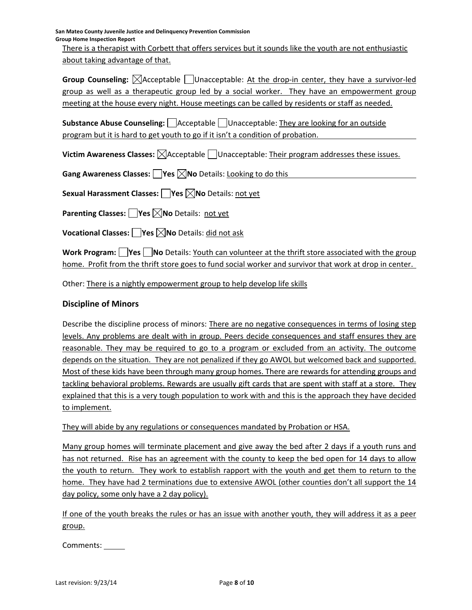**San Mateo County Juvenile Justice and Delinquency Prevention Commission Group Home Inspection Report**

There is a therapist with Corbett that offers services but it sounds like the youth are not enthusiastic about taking advantage of that.

**Group Counseling:**  $\triangle$ Acceptable Unacceptable: At the drop-in center, they have a survivor-led group as well as a therapeutic group led by a social worker. They have an empowerment group meeting at the house every night. House meetings can be called by residents or staff as needed.

**Substance Abuse Counseling:**  $\Box$  Acceptable  $\Box$  Unacceptable: They are looking for an outside program but it is hard to get youth to go if it isn't a condition of probation.

**Victim Awareness Classes:**  $\boxtimes$  Acceptable  $\Box$  Unacceptable: Their program addresses these issues.

**Gang Awareness Classes: Yes No** Details: Looking to do this

**Sexual Harassment Classes: Yes No** Details: not yet

**Parenting Classes: Yes No** Details: not yet

**Vocational Classes: Yes No** Details: did not ask

**Work Program: Yes No** Details: Youth can volunteer at the thrift store associated with the group home. Profit from the thrift store goes to fund social worker and survivor that work at drop in center.

Other: There is a nightly empowerment group to help develop life skills

# **Discipline of Minors**

Describe the discipline process of minors: There are no negative consequences in terms of losing step levels. Any problems are dealt with in group. Peers decide consequences and staff ensures they are reasonable. They may be required to go to a program or excluded from an activity. The outcome depends on the situation. They are not penalized if they go AWOL but welcomed back and supported. Most of these kids have been through many group homes. There are rewards for attending groups and tackling behavioral problems. Rewards are usually gift cards that are spent with staff at a store. They explained that this is a very tough population to work with and this is the approach they have decided to implement.

They will abide by any regulations or consequences mandated by Probation or HSA.

Many group homes will terminate placement and give away the bed after 2 days if a youth runs and has not returned. Rise has an agreement with the county to keep the bed open for 14 days to allow the youth to return. They work to establish rapport with the youth and get them to return to the home. They have had 2 terminations due to extensive AWOL (other counties don't all support the 14 day policy, some only have a 2 day policy).

If one of the youth breaks the rules or has an issue with another youth, they will address it as a peer group.

Comments: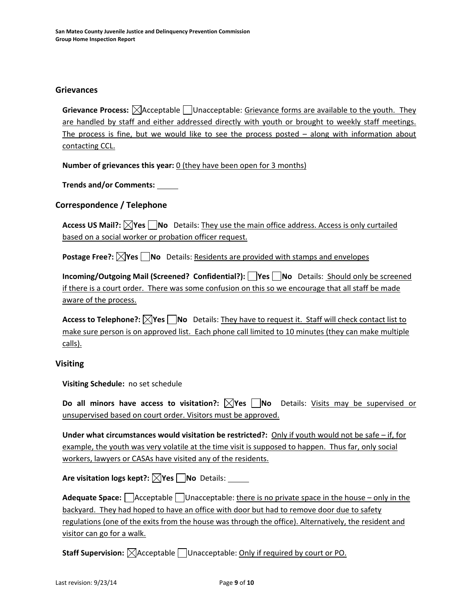#### **Grievances**

**Grievance Process:**  $\boxtimes$  Acceptable  $\Box$  Unacceptable: Grievance forms are available to the youth. They are handled by staff and either addressed directly with youth or brought to weekly staff meetings. The process is fine, but we would like to see the process posted – along with information about contacting CCL.

**Number of grievances this year:** 0 (they have been open for 3 months)

**Trends and/or Comments:**

### **Correspondence / Telephone**

**Access US Mail?: Yes No** Details: They use the main office address. Access is only curtailed based on a social worker or probation officer request.

**Postage Free?:**  $\boxed{\times}$ Yes  $\boxed{\phantom{\times}}$  No Details: Residents are provided with stamps and envelopes

**Incoming/Outgoing Mail (Screened? Confidential?): Yes No** Details: Should only be screened if there is a court order. There was some confusion on this so we encourage that all staff be made aware of the process.

**Access to Telephone?:**  $\bigtimes$  **Yes**  $\bigcap$  **No** Details: They have to request it. Staff will check contact list to make sure person is on approved list. Each phone call limited to 10 minutes (they can make multiple calls).

#### **Visiting**

**Visiting Schedule:** no set schedule

**Do all minors have access to visitation?: Yes No** Details: Visits may be supervised or unsupervised based on court order. Visitors must be approved.

**Under what circumstances would visitation be restricted?:** Only if youth would not be safe – if, for example, the youth was very volatile at the time visit is supposed to happen. Thus far, only social workers, lawyers or CASAs have visited any of the residents.

**Are visitation logs kept?: Yes No** Details:

**Adequate Space:** Acceptable Unacceptable: there is no private space in the house – only in the backyard. They had hoped to have an office with door but had to remove door due to safety regulations (one of the exits from the house was through the office). Alternatively, the resident and visitor can go for a walk.

**Staff Supervision:**  $\boxtimes$  Acceptable  $\Box$  Unacceptable: Only if required by court or PO.